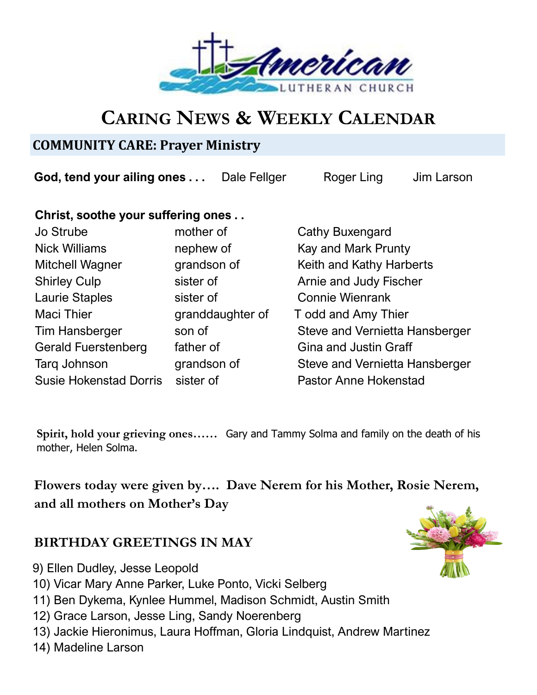

# **CARING NEWS & WEEKLY CALENDAR**

## **COMMUNITY CARE: Prayer Ministry**

**God, tend your ailing ones ...** Dale Fellger Roger Ling Jim Larson

### **Christ, soothe your suffering ones . .**

| <b>Jo Strube</b>              | mother of        |
|-------------------------------|------------------|
| <b>Nick Williams</b>          | nephew of        |
| <b>Mitchell Wagner</b>        | grandson of      |
| <b>Shirley Culp</b>           | sister of        |
| <b>Laurie Staples</b>         | sister of        |
| <b>Maci Thier</b>             | granddaughter of |
| <b>Tim Hansberger</b>         | son of           |
| <b>Gerald Fuerstenberg</b>    | father of        |
| <b>Targ Johnson</b>           | grandson of      |
| <b>Susie Hokenstad Dorris</b> | sister of        |

Cathy Buxengard Kay and Mark Prunty Keith and Kathy Harberts Arnie and Judy Fischer Connie Wienrank f Todd and Amy Thier Steve and Vernietta Hansberger Gina and Justin Graff Steve and Vernietta Hansberger Pastor Anne Hokenstad

**Spirit, hold your grieving ones……** Gary and Tammy Solma and family on the death of his mother, Helen Solma.

**Flowers today were given by…. Dave Nerem for his Mother, Rosie Nerem, and all mothers on Mother's Day**

## **BIRTHDAY GREETINGS IN MAY**

- 9) Ellen Dudley, Jesse Leopold
- 10) Vicar Mary Anne Parker, Luke Ponto, Vicki Selberg
- 11) Ben Dykema, Kynlee Hummel, Madison Schmidt, Austin Smith
- 12) Grace Larson, Jesse Ling, Sandy Noerenberg
- 13) Jackie Hieronimus, Laura Hoffman, Gloria Lindquist, Andrew Martinez
- 14) Madeline Larson